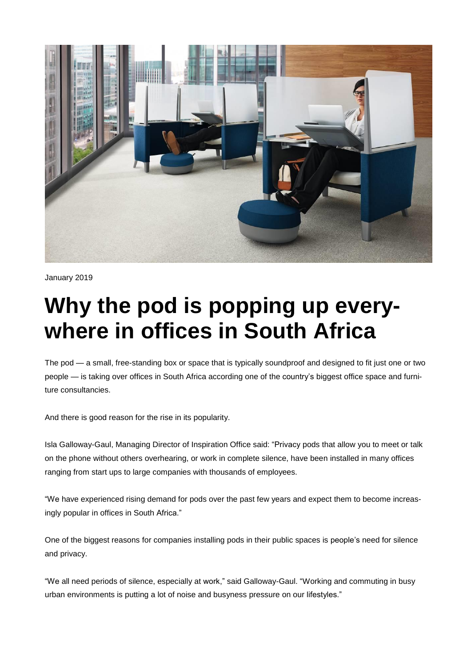

January 2019

## **Why the pod is popping up everywhere in offices in South Africa**

The pod — a small, free-standing box or space that is typically soundproof and designed to fit just one or two people — is taking over offices in South Africa according one of the country's biggest office space and furniture consultancies.

And there is good reason for the rise in its popularity.

Isla Galloway-Gaul, Managing Director of Inspiration Office said: "Privacy pods that allow you to meet or talk on the phone without others overhearing, or work in complete silence, have been installed in many offices ranging from start ups to large companies with thousands of employees.

"We have experienced rising demand for pods over the past few years and expect them to become increasingly popular in offices in South Africa."

One of the biggest reasons for companies installing pods in their public spaces is people's need for silence and privacy.

"We all need periods of silence, especially at work," said Galloway-Gaul. "Working and commuting in busy urban environments is putting a lot of noise and busyness pressure on our lifestyles."